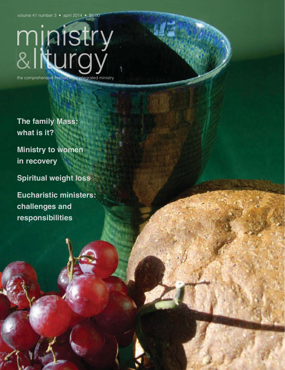volume 41 number 3 • april 2014 • \$6.00

# ministry<br>&liturgy the comprehensive resource for integrated ministry

**The family Mass: what is it?**

**Ministry to women in recovery**

**Spiritual weight loss**

**Eucharistic ministers: challenges and responsibilities**